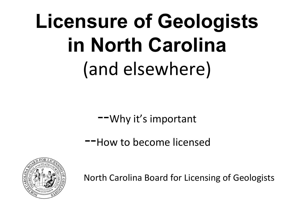# **Licensure of Geologists in North Carolina**  (and elsewhere)

--Why it's important

--How to become licensed 



North Carolina Board for Licensing of Geologists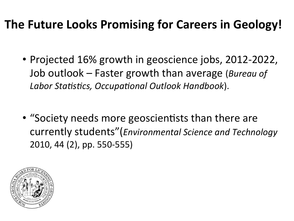#### **The Future Looks Promising for Careers in Geology!**

- Projected 16% growth in geoscience jobs, 2012-2022, Job outlook – Faster growth than average (*Bureau of* Labor Statistics, Occupational Outlook Handbook).
- "Society needs more geoscientists than there are currently students"(*Environmental Science and Technology*  2010, 44 (2), pp. 550-555)

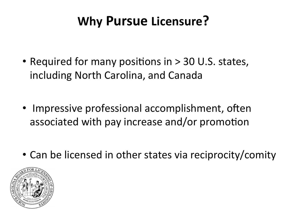#### **Why Pursue Licensure?**

- Required for many positions in  $>$  30 U.S. states, including North Carolina, and Canada
- Impressive professional accomplishment, often associated with pay increase and/or promotion
- Can be licensed in other states via reciprocity/comity

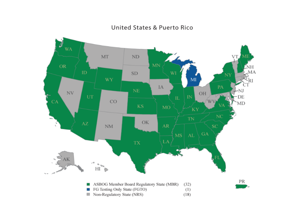

#### **United States & Puerto Rico**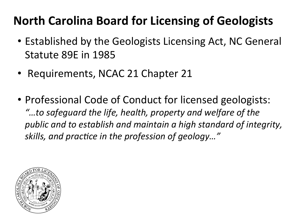#### **North Carolina Board for Licensing of Geologists**

- Established by the Geologists Licensing Act, NC General Statute 89E in 1985
- Requirements, NCAC 21 Chapter 21
- Professional Code of Conduct for licensed geologists: *"…to safeguard the life, health, property and welfare of the public* and to establish and maintain a high standard of integrity, skills, and practice in the profession of geology..."

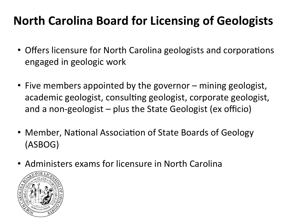#### **North Carolina Board for Licensing of Geologists**

- Offers licensure for North Carolina geologists and corporations engaged in geologic work
- Five members appointed by the governor mining geologist, academic geologist, consulting geologist, corporate geologist, and a non-geologist  $-$  plus the State Geologist (ex officio)
- Member, National Association of State Boards of Geology (ASBOG)
- Administers exams for licensure in North Carolina

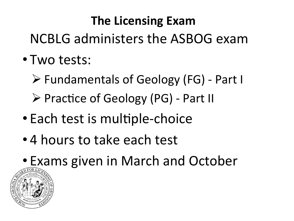#### **The Licensing Exam**

NCBLG administers the ASBOG exam 

- Two tests:
	- $\triangleright$  Fundamentals of Geology (FG) Part I
	- $\triangleright$  Practice of Geology (PG) Part II
- Each test is multiple-choice
- 4 hours to take each test
- Exams given in March and October

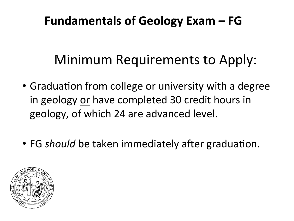#### Fundamentals of Geology Exam – FG

### Minimum Requirements to Apply:

- Graduation from college or university with a degree in geology or have completed 30 credit hours in geology, of which 24 are advanced level.
- FG *should* be taken immediately after graduation.

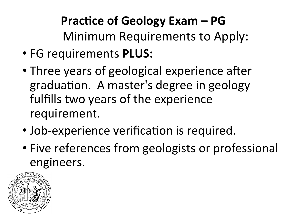### **Practice of Geology Exam – PG**

Minimum Requirements to Apply:

- FG requirements **PLUS:**
- Three years of geological experience after graduation. A master's degree in geology fulfills two years of the experience requirement.
- Job-experience verification is required.
- Five references from geologists or professional engineers.

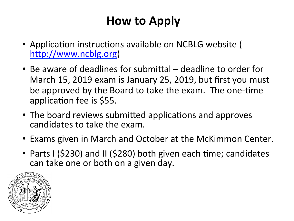#### **How to Apply**

- Application instructions available on NCBLG website ( http://www.ncblg.org)
- Be aware of deadlines for submittal  $-$  deadline to order for March 15, 2019 exam is January 25, 2019, but first you must be approved by the Board to take the exam. The one-time application fee is \$55.
- The board reviews submitted applications and approves candidates to take the exam.
- Exams given in March and October at the McKimmon Center.
- Parts I (\$230) and II (\$280) both given each time; candidates can take one or both on a given day.

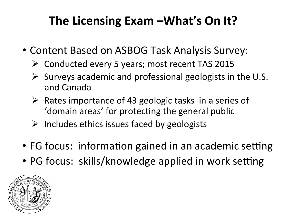#### The Licensing Exam –What's On It?

- Content Based on ASBOG Task Analysis Survey:
	- $\triangleright$  Conducted every 5 years; most recent TAS 2015
	- $\triangleright$  Surveys academic and professional geologists in the U.S. and Canada
	- $\triangleright$  Rates importance of 43 geologic tasks in a series of 'domain areas' for protecting the general public
	- $\triangleright$  Includes ethics issues faced by geologists
- FG focus: information gained in an academic setting
- PG focus: skills/knowledge applied in work setting

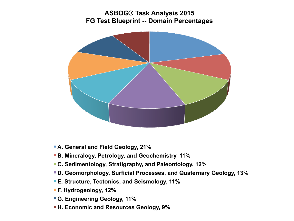#### **ASBOG® Task Analysis 2015 FG Test Blueprint -- Domain Percentages**



- **A. General and Field Geology, 21%**
- **B. Mineralogy, Petrology, and Geochemistry, 11%**
- **C. Sedimentology, Stratigraphy, and Paleontology, 12%**
- **D. Geomorphology, Surficial Processes, and Quaternary Geology, 13%**
- **E. Structure, Tectonics, and Seismology, 11%**
- **F. Hydrogeology, 12%**
- **G. Engineering Geology, 11%**
- **H. Economic and Resources Geology, 9%**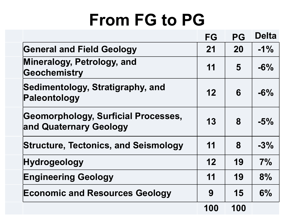## **From FG to PG**

|                                                               | FG  | <b>PG</b> | <b>Delta</b> |
|---------------------------------------------------------------|-----|-----------|--------------|
| <b>General and Field Geology</b>                              | 21  | <b>20</b> | $-1\%$       |
| Mineralogy, Petrology, and<br>Geochemistry                    | 11  | 5         | $-6\%$       |
| Sedimentology, Stratigraphy, and<br>Paleontology              | 12  | 6         | $-6\%$       |
| Geomorphology, Surficial Processes,<br>and Quaternary Geology | 13  | 8         | $-5%$        |
| <b>Structure, Tectonics, and Seismology</b>                   | 11  | 8         | $-3%$        |
| Hydrogeology                                                  | 12  | 19        | 7%           |
| <b>Engineering Geology</b>                                    | 11  | 19        | 8%           |
| <b>Economic and Resources Geology</b>                         | 9   | 15        | 6%           |
|                                                               | 100 | 100       |              |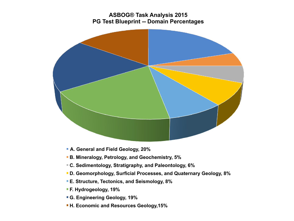#### **ASBOG® Task Analysis 2015 PG Test Blueprint -- Domain Percentages**



- **A. General and Field Geology, 20%**
- **B. Mineralogy, Petrology, and Geochemistry, 5%**
- **C. Sedimentology, Stratigraphy, and Paleontology, 6%**
- **D. Geomorphology, Surficial Processes, and Quaternary Geology, 8%**
- **E. Structure, Tectonics, and Seismology, 8%**
- **F. Hydrogeology, 19%**
- **G. Engineering Geology, 19%**
- **H. Economic and Resources Geology,15%**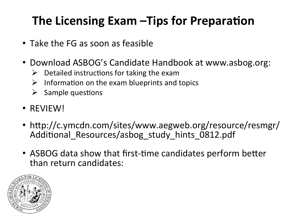#### The Licensing Exam –Tips for Preparation

- Take the FG as soon as feasible
- Download ASBOG's Candidate Handbook at www.asbog.org:
	- $\triangleright$  Detailed instructions for taking the exam
	- $\triangleright$  Information on the exam blueprints and topics
	- $\triangleright$  Sample questions
- REVIEW!
- http://c.ymcdn.com/sites/www.aegweb.org/resource/resmgr/ Additional Resources/asbog study hints 0812.pdf
- ASBOG data show that first-time candidates perform better than return candidates:

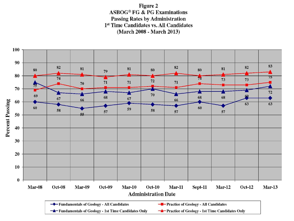**Figure 2 ASBOG® FG & PG Examinations Passing Rates by Administration** 1st Time Candidates vs. All Candidates (March 2008 - March 2013)

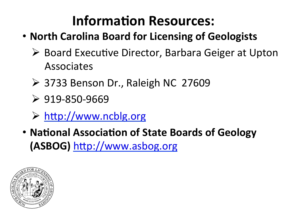### **Information Resources:**

- **North Carolina Board for Licensing of Geologists**
	- $\triangleright$  Board Executive Director, Barbara Geiger at Upton Associates
	- $\triangleright$  3733 Benson Dr., Raleigh NC 27609
	- $\triangleright$  919-850-9669
	- $\triangleright$  http://www.ncblg.org
- **National Association of State Boards of Geology (ASBOG)** http://www.asbog.org